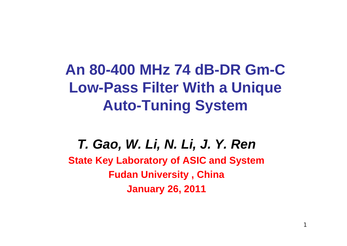**An 80-400 MHz 74 dB-DR Gm-C Low-Pass Filter With a Unique Auto-Tuning System**

*T. Gao, W. Li, N. Li, J. Y. Ren* **State Key Laboratory of ASIC and System Fudan University , China January 26, 2011**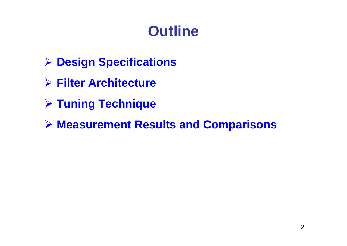## **Outline**

- ¾ **Design Specifications**
- ¾ **Filter Architecture**
- ¾ **Tuning Technique**
- ¾ **Measurement Results and Comparisons**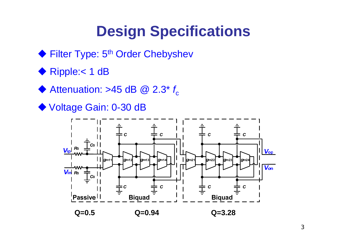# **Design Specifications**

- Filter Type: 5<sup>th</sup> Order Chebyshev
- Ripple:< 1 dB
- $\blacklozenge$  Attenuation: >45 dB @ 2.3<sup>\*</sup>  $f_c$
- ◆ Voltage Gain: 0-30 dB

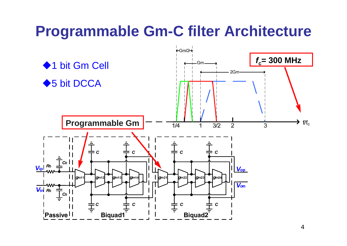## **Programmable Gm-C filter Architecture**

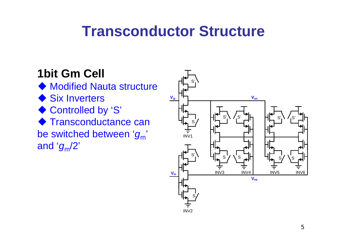## **Transconductor Structure**

#### **1bit Gm Cell**

◆ Modified Nauta structure Six Inverters ◆ Controlled by 'S' ◆ Transconductance can be switched between ' *g*m' and ' *g*m/2'

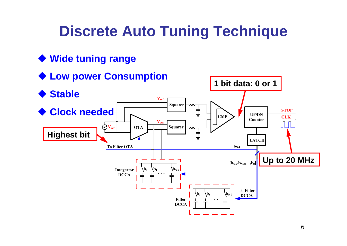# **Discrete Auto Tuning Technique**

**Wide tuning range**

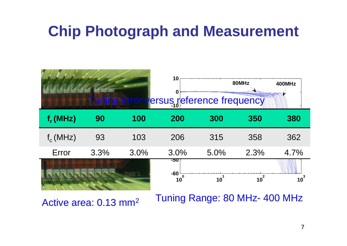# **Chip Photograph and Measurement**



Active area: 0.13 mm<sup>2</sup>

Tuning Range: 80 MHz- 400 MHz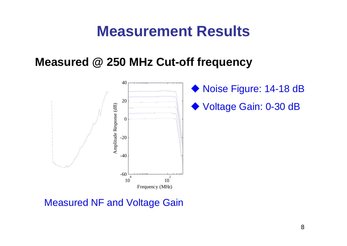### **Measurement Results**

#### **Measured @ 250 MHz Cut-off frequency**



Measured NF and Voltage Gain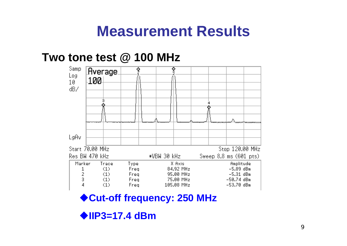### **Measurement Results**

#### **Two tone test @ 100 MHz**



**Cut-off frequency: 250 MHz**

**IIP3=17.4 dBm**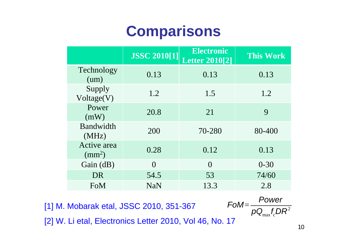## **Comparisons**

|                             | <b>JSSC 2010[1]</b> | <b>Electronic</b><br><b>Letter 2010[2]</b> | <b>This Work</b> |
|-----------------------------|---------------------|--------------------------------------------|------------------|
| Technology<br>(num)         | 0.13                | 0.13                                       | 0.13             |
| Supply<br>Voltage(V)        | 1.2                 | 1.5                                        | 1.2              |
| Power<br>(mW)               | 20.8                | 21                                         | $\boldsymbol{Q}$ |
| Bandwidth<br>(MHz)          | 200                 | 70-280                                     | 80-400           |
| Active area<br>$\rm (mm^2)$ | 0.28                | 0.12                                       | 0.13             |
| Gain (dB)                   | $\Omega$            | $\Omega$                                   | $0 - 30$         |
| DR                          | 54.5                | 53                                         | 74/60            |
| FoM                         | <b>NaN</b>          | 13.3                                       | 2.8              |

[1] M. Mobarak etal, JSSC 2010, 351-367 [2] W. Li etal, Electronics Letter 2010, Vol 46, No. 17